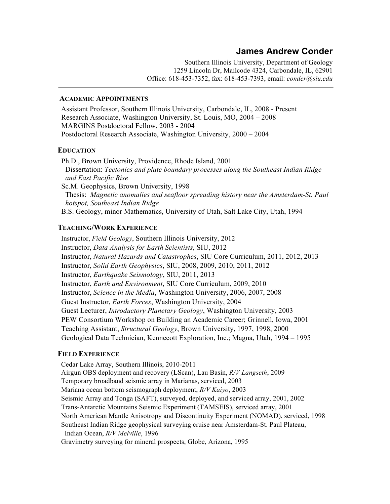# **James Andrew Conder**

Southern Illinois University, Department of Geology 1259 Lincoln Dr, Mailcode 4324, Carbondale, IL, 62901 Office: 618-453-7352, fax: 618-453-7393, email: *conder@siu.edu*

### **ACADEMIC APPOINTMENTS**

 Assistant Professor, Southern Illinois University, Carbondale, IL, 2008 - Present Research Associate, Washington University, St. Louis, MO, 2004 – 2008 MARGINS Postdoctoral Fellow, 2003 - 2004 Postdoctoral Research Associate, Washington University, 2000 – 2004

# **EDUCATION**

 Ph.D., Brown University, Providence, Rhode Island, 2001 Dissertation: *Tectonics and plate boundary processes along the Southeast Indian Ridge and East Pacific Rise* Sc.M. Geophysics, Brown University, 1998 Thesis: *Magnetic anomalies and seafloor spreading history near the Amsterdam-St. Paul hotspot, Southeast Indian Ridge* B.S. Geology, minor Mathematics, University of Utah, Salt Lake City, Utah, 1994

# **TEACHING/WORK EXPERIENCE**

 Instructor, *Field Geology*, Southern Illinois University, 2012 Instructor, *Data Analysis for Earth Scientists*, SIU, 2012 Instructor, *Natural Hazards and Catastrophes*, SIU Core Curriculum, 2011, 2012, 2013 Instructor, *Solid Earth Geophysics*, SIU, 2008, 2009, 2010, 2011, 2012 Instructor, *Earthquake Seismology*, SIU, 2011, 2013 Instructor, *Earth and Environment*, SIU Core Curriculum, 2009, 2010 Instructor, *Science in the Media*, Washington University, 2006, 2007, 2008 Guest Instructor, *Earth Forces*, Washington University, 2004 Guest Lecturer, *Introductory Planetary Geology*, Washington University, 2003 PEW Consortium Workshop on Building an Academic Career; Grinnell, Iowa, 2001 Teaching Assistant, *Structural Geology*, Brown University, 1997, 1998, 2000 Geological Data Technician, Kennecott Exploration, Inc.; Magna, Utah, 1994 – 1995

### **FIELD EXPERIENCE**

 Cedar Lake Array, Southern Illinois, 2010-2011 Airgun OBS deployment and recovery (LScan), Lau Basin, *R/V Langseth*, 2009 Temporary broadband seismic array in Marianas, serviced, 2003 Mariana ocean bottom seismograph deployment, *R/V Kaiyo*, 2003 Seismic Array and Tonga (SAFT), surveyed, deployed, and serviced array, 2001, 2002 Trans-Antarctic Mountains Seismic Experiment (TAMSEIS), serviced array, 2001 North American Mantle Anisotropy and Discontinuity Experiment (NOMAD), serviced, 1998 Southeast Indian Ridge geophysical surveying cruise near Amsterdam-St. Paul Plateau, Indian Ocean, *R/V Melville*, 1996 Gravimetry surveying for mineral prospects, Globe, Arizona, 1995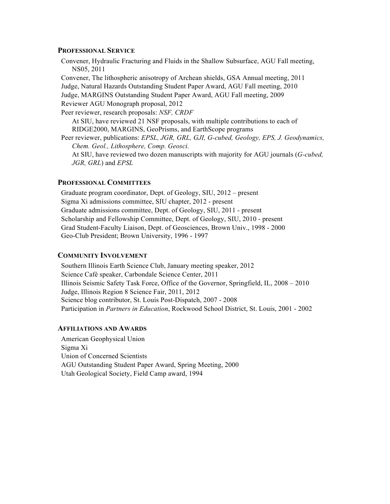#### **PROFESSIONAL SERVICE**

 Convener, Hydraulic Fracturing and Fluids in the Shallow Subsurface, AGU Fall meeting, NS05, 2011

 Convener, The lithospheric anisotropy of Archean shields, GSA Annual meeting, 2011 Judge, Natural Hazards Outstanding Student Paper Award, AGU Fall meeting, 2010 Judge, MARGINS Outstanding Student Paper Award, AGU Fall meeting, 2009 Reviewer AGU Monograph proposal, 2012

Peer reviewer, research proposals: *NSF, CRDF*

 At SIU, have reviewed 21 NSF proposals, with multiple contributions to each of RIDGE2000, MARGINS, GeoPrisms, and EarthScope programs

 Peer reviewer, publications: *EPSL, JGR, GRL, GJI, G-cubed, Geology, EPS, J. Geodynamics, Chem. Geol., Lithosphere, Comp. Geosci.*

 At SIU, have reviewed two dozen manuscripts with majority for AGU journals (*G-cubed, JGR, GRL*) and *EPSL*

# **PROFESSIONAL COMMITTEES**

 Graduate program coordinator, Dept. of Geology, SIU, 2012 – present Sigma Xi admissions committee, SIU chapter, 2012 - present Graduate admissions committee, Dept. of Geology, SIU, 2011 - present Scholarship and Fellowship Committee, Dept. of Geology, SIU, 2010 - present Grad Student-Faculty Liaison, Dept. of Geosciences, Brown Univ., 1998 - 2000 Geo-Club President; Brown University, 1996 - 1997

### **COMMUNITY INVOLVEMENT**

 Southern Illinois Earth Science Club, January meeting speaker, 2012 Science Café speaker, Carbondale Science Center, 2011 Illinois Seismic Safety Task Force, Office of the Governor, Springfield, IL, 2008 – 2010 Judge, Illinois Region 8 Science Fair, 2011, 2012 Science blog contributor, St. Louis Post-Dispatch, 2007 - 2008 Participation in *Partners in Education*, Rockwood School District, St. Louis, 2001 - 2002

### **AFFILIATIONS AND AWARDS**

 American Geophysical Union Sigma Xi Union of Concerned Scientists AGU Outstanding Student Paper Award, Spring Meeting, 2000 Utah Geological Society, Field Camp award, 1994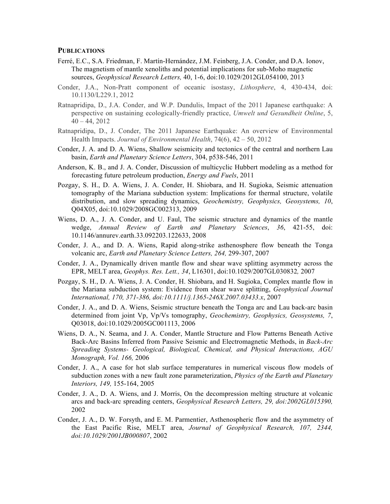### **PUBLICATIONS**

- Ferré, E.C., S.A. Friedman, F. Martín-Hernández, J.M. Feinberg, J.A. Conder, and D.A. Ionov, The magnetism of mantle xenoliths and potential implications for sub-Moho magnetic sources, *Geophysical Research Letters,* 40, 1-6, doi:10.1029/2012GL054100, 2013
- Conder, J.A., Non-Pratt component of oceanic isostasy, *Lithosphere*, 4, 430-434, doi: 10.1130/L229.1, 2012
- Ratnapridipa, D., J.A. Conder, and W.P. Dundulis, Impact of the 2011 Japanese earthquake: A perspective on sustaining ecologically-friendly practice, *Umwelt und Gesundheit Online*, 5,  $40 - 44, 2012$
- Ratnapridipa, D., J. Conder, The 2011 Japanese Earthquake: An overview of Environmental Health Impacts. *Journal of Environmental Health*, 74(6), 42 – 50, 2012
- Conder, J. A. and D. A. Wiens, Shallow seismicity and tectonics of the central and northern Lau basin, *Earth and Planetary Science Letters*, 304, p538-546, 2011
- Anderson, K. B., and J. A. Conder, Discussion of multicyclic Hubbert modeling as a method for forecasting future petroleum production, *Energy and Fuels*, 2011
- Pozgay, S. H., D. A. Wiens, J. A. Conder, H. Shiobara, and H. Sugioka, Seismic attenuation tomography of the Mariana subduction system: Implications for thermal structure, volatile distribution, and slow spreading dynamics, *Geochemistry, Geophysics, Geosystems, 10*, Q04X05, doi:10.1029/2008GC002313, 2009
- Wiens, D. A., J. A. Conder, and U. Faul, The seismic structure and dynamics of the mantle wedge, *Annual Review of Earth and Planetary Sciences*, *36*, 421-55, doi: 10.1146/annurev.earth.33.092203.122633, 2008
- Conder, J. A., and D. A. Wiens, Rapid along-strike asthenosphere flow beneath the Tonga volcanic arc, *Earth and Planetary Science Letters, 264,* 299-307, 2007
- Conder, J. A., Dynamically driven mantle flow and shear wave splitting asymmetry across the EPR, MELT area, *Geophys. Res. Lett., 34*, L16301, doi:10.1029/2007GL030832*,* 2007
- Pozgay, S. H., D. A. Wiens, J. A. Conder, H. Shiobara, and H. Sugioka, Complex mantle flow in the Mariana subduction system: Evidence from shear wave splitting, *Geophysical Journal International, 170, 371-386, doi:10.1111/j.1365-246X.2007.03433.x*, 2007
- Conder, J. A., and D. A. Wiens, Seismic structure beneath the Tonga arc and Lau back-arc basin determined from joint Vp, Vp/Vs tomography, *Geochemistry, Geophysics, Geosystems, 7*, Q03018, doi:10.1029/2005GC001113, 2006
- Wiens, D. A., N. Seama, and J. A. Conder, Mantle Structure and Flow Patterns Beneath Active Back-Arc Basins Inferred from Passive Seismic and Electromagnetic Methods, in *Back-Arc Spreading Systems- Geological, Biological, Chemical, and Physical Interactions, AGU Monograph, Vol. 166,* 2006
- Conder, J. A., A case for hot slab surface temperatures in numerical viscous flow models of subduction zones with a new fault zone parameterization, *Physics of the Earth and Planetary Interiors, 149,* 155-164, 2005
- Conder, J. A., D. A. Wiens, and J. Morris, On the decompression melting structure at volcanic arcs and back-arc spreading centers, *Geophysical Research Letters, 29, doi:2002GL015390,* 2002
- Conder, J. A., D. W. Forsyth, and E. M. Parmentier, Asthenospheric flow and the asymmetry of the East Pacific Rise, MELT area, *Journal of Geophysical Research, 107, 2344, doi:10.1029/2001JB000807*, 2002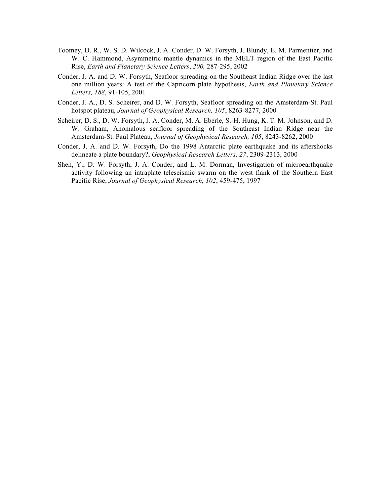- Toomey, D. R., W. S. D. Wilcock, J. A. Conder, D. W. Forsyth, J. Blundy, E. M. Parmentier, and W. C. Hammond, Asymmetric mantle dynamics in the MELT region of the East Pacific Rise, *Earth and Planetary Science Letters*, *200,* 287-295, 2002
- Conder, J. A. and D. W. Forsyth, Seafloor spreading on the Southeast Indian Ridge over the last one million years: A test of the Capricorn plate hypothesis, *Earth and Planetary Science Letters, 188*, 91-105, 2001
- Conder, J. A., D. S. Scheirer, and D. W. Forsyth, Seafloor spreading on the Amsterdam-St. Paul hotspot plateau, *Journal of Geophysical Research, 105*, 8263-8277, 2000
- Scheirer, D. S., D. W. Forsyth, J. A. Conder, M. A. Eberle, S.-H. Hung, K. T. M. Johnson, and D. W. Graham, Anomalous seafloor spreading of the Southeast Indian Ridge near the Amsterdam-St. Paul Plateau, *Journal of Geophysical Research, 105*, 8243-8262, 2000
- Conder, J. A. and D. W. Forsyth, Do the 1998 Antarctic plate earthquake and its aftershocks delineate a plate boundary?, *Geophysical Research Letters, 27*, 2309-2313, 2000
- Shen, Y., D. W. Forsyth, J. A. Conder, and L. M. Dorman, Investigation of microearthquake activity following an intraplate teleseismic swarm on the west flank of the Southern East Pacific Rise, *Journal of Geophysical Research, 102*, 459-475, 1997